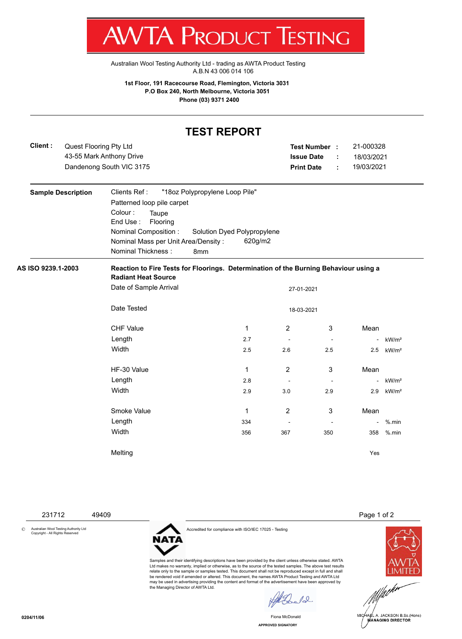

Australian Wool Testing Authority Ltd - trading as AWTA Product Testing A.B.N 43 006 014 106

**1st Floor, 191 Racecourse Road, Flemington, Victoria 3031 P.O Box 240, North Melbourne, Victoria 3051 Phone (03) 9371 2400**

## **TEST REPORT**

| Client:                   |  | Quest Flooring Pty Ltd<br>43-55 Mark Anthony Drive<br>Dandenong South VIC 3175                                     |                |                |        |  | 21-000328<br>Test Number :<br><b>Issue Date</b><br>18/03/2021<br>÷<br>19/03/2021<br><b>Print Date</b><br>÷ |                   |  |  |
|---------------------------|--|--------------------------------------------------------------------------------------------------------------------|----------------|----------------|--------|--|------------------------------------------------------------------------------------------------------------|-------------------|--|--|
| <b>Sample Description</b> |  | Clients Ref:<br>"18oz Polypropylene Loop Pile"                                                                     |                |                |        |  |                                                                                                            |                   |  |  |
|                           |  | Patterned loop pile carpet                                                                                         |                |                |        |  |                                                                                                            |                   |  |  |
|                           |  | Colour:<br>Taupe<br>End Use:<br>Flooring                                                                           |                |                |        |  |                                                                                                            |                   |  |  |
|                           |  | Nominal Composition :<br>Solution Dyed Polypropylene                                                               |                |                |        |  |                                                                                                            |                   |  |  |
|                           |  | Nominal Mass per Unit Area/Density:<br><b>Nominal Thickness:</b>                                                   | 620g/m2<br>8mm |                |        |  |                                                                                                            |                   |  |  |
| AS ISO 9239.1-2003        |  | Reaction to Fire Tests for Floorings. Determination of the Burning Behaviour using a<br><b>Radiant Heat Source</b> |                |                |        |  |                                                                                                            |                   |  |  |
|                           |  | Date of Sample Arrival<br>27-01-2021                                                                               |                |                |        |  |                                                                                                            |                   |  |  |
|                           |  | Date Tested<br>18-03-2021                                                                                          |                |                |        |  |                                                                                                            |                   |  |  |
|                           |  | <b>CHF Value</b>                                                                                                   | $\mathbf{1}$   | $\overline{2}$ | 3      |  | Mean                                                                                                       |                   |  |  |
|                           |  | Length                                                                                                             | 2.7            |                |        |  | $\blacksquare$                                                                                             | kW/m <sup>2</sup> |  |  |
|                           |  | Width                                                                                                              | 2.5            | 2.6            | 2.5    |  | 2.5                                                                                                        | kW/m <sup>2</sup> |  |  |
|                           |  | HF-30 Value                                                                                                        | 1              | $\overline{2}$ | 3      |  | Mean                                                                                                       |                   |  |  |
|                           |  | Length                                                                                                             | 2.8            |                |        |  | $\blacksquare$                                                                                             | kW/m <sup>2</sup> |  |  |
|                           |  | Width                                                                                                              | 2.9            | 3.0            | 2.9    |  | 2.9                                                                                                        | kW/m <sup>2</sup> |  |  |
|                           |  | Smoke Value                                                                                                        | 1              | $\overline{2}$ | 3      |  | Mean                                                                                                       |                   |  |  |
|                           |  | Length                                                                                                             | 334            |                | $\sim$ |  | $\overline{\phantom{a}}$                                                                                   | $%$ .min          |  |  |
|                           |  | Width                                                                                                              | 356            | 367            | 350    |  | 358                                                                                                        | $%$ .min          |  |  |
|                           |  | Melting                                                                                                            |                |                |        |  | Yes                                                                                                        |                   |  |  |

231712 49409 Page 1 of 2

© Australian Wool Testing Authority Ltd Copyright - All Rights Reserved

Accredited for compliance with ISO/IEC 17025 - Testing

**NATA** 

Samples and their identifying descriptions have been provided by the client unless otherwise stated. AWTA Ltd makes no warranty, implied or otherwise, as to the source of the tested samples. The above test results relate only to the sample or samples tested. This document shall not be reproduced except in full and shall be rendered void if amended or altered. This document, the names AWTA Product Testing and AWTA Ltd may be used in advertising providing the content and format of the advertisement have been approved by the Managing Director of AWTA Ltd.

 $\ell$ 

**APPROVED SIGNATORY** Fiona McDonald